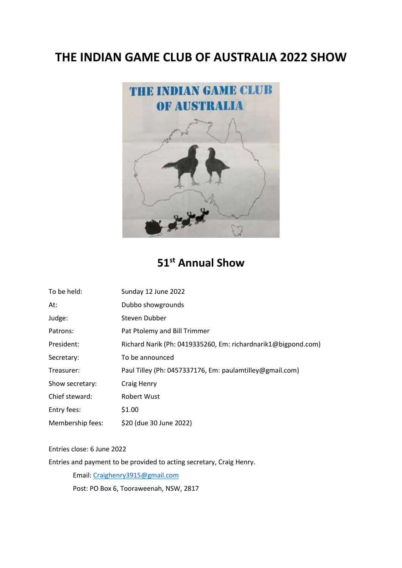## **THE INDIAN GAME CLUB OF AUSTRALIA 2022 SHOW**



## **51st Annual Show**

| To be held:      | Sunday 12 June 2022                                           |
|------------------|---------------------------------------------------------------|
| At:              | Dubbo showgrounds                                             |
| Judge:           | Steven Dubber                                                 |
| Patrons:         | Pat Ptolemy and Bill Trimmer                                  |
| President:       | Richard Narik (Ph: 0419335260, Em: richardnarik1@bigpond.com) |
| Secretary:       | To be announced                                               |
| Treasurer:       | Paul Tilley (Ph: 0457337176, Em: paulamtilley@gmail.com)      |
| Show secretary:  | Craig Henry                                                   |
| Chief steward:   | Robert Wust                                                   |
| Entry fees:      | \$1.00                                                        |
| Membership fees: | \$20 (due 30 June 2022)                                       |

## Entries close: 6 June 2022

Entries and payment to be provided to acting secretary, Craig Henry.

Email: [Craighenry3915@gmail.com](mailto:Craighenry3915@gmail.com)

Post: PO Box 6, Tooraweenah, NSW, 2817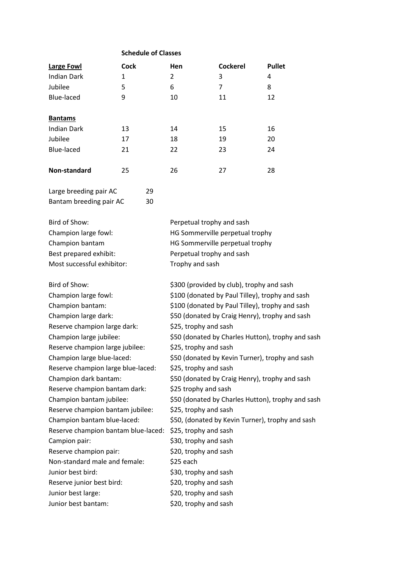|                                     | <b>Schedule of Classes</b> |                                                   |                                           |               |  |
|-------------------------------------|----------------------------|---------------------------------------------------|-------------------------------------------|---------------|--|
| <b>Large Fowl</b>                   | <b>Cock</b>                | <b>Hen</b>                                        | <b>Cockerel</b>                           | <b>Pullet</b> |  |
| <b>Indian Dark</b>                  | 1                          | 2                                                 | 3                                         | 4             |  |
| Jubilee                             | 5                          | 6                                                 | 7                                         | 8             |  |
| <b>Blue-laced</b>                   | 9                          | 10                                                | 11                                        | 12            |  |
|                                     |                            |                                                   |                                           |               |  |
| <b>Bantams</b>                      |                            |                                                   |                                           |               |  |
| <b>Indian Dark</b>                  | 13                         | 14                                                | 15                                        | 16            |  |
| Jubilee                             | 17                         | 18                                                | 19                                        | 20            |  |
| Blue-laced                          | 21                         | 22                                                | 23                                        | 24            |  |
| Non-standard                        | 25                         | 26                                                | 27                                        | 28            |  |
| Large breeding pair AC              | 29                         |                                                   |                                           |               |  |
| Bantam breeding pair AC             | 30                         |                                                   |                                           |               |  |
|                                     |                            |                                                   |                                           |               |  |
| Bird of Show:                       |                            | Perpetual trophy and sash                         |                                           |               |  |
| Champion large fowl:                |                            | HG Sommerville perpetual trophy                   |                                           |               |  |
| Champion bantam                     |                            | HG Sommerville perpetual trophy                   |                                           |               |  |
| Best prepared exhibit:              |                            | Perpetual trophy and sash                         |                                           |               |  |
| Most successful exhibitor:          |                            | Trophy and sash                                   |                                           |               |  |
| Bird of Show:                       |                            |                                                   | \$300 (provided by club), trophy and sash |               |  |
| Champion large fowl:                |                            | \$100 (donated by Paul Tilley), trophy and sash   |                                           |               |  |
| Champion bantam:                    |                            | \$100 (donated by Paul Tilley), trophy and sash   |                                           |               |  |
| Champion large dark:                |                            | \$50 (donated by Craig Henry), trophy and sash    |                                           |               |  |
| Reserve champion large dark:        |                            | \$25, trophy and sash                             |                                           |               |  |
| Champion large jubilee:             |                            | \$50 (donated by Charles Hutton), trophy and sash |                                           |               |  |
| Reserve champion large jubilee:     |                            | \$25, trophy and sash                             |                                           |               |  |
| Champion large blue-laced:          |                            | \$50 (donated by Kevin Turner), trophy and sash   |                                           |               |  |
| Reserve champion large blue-laced:  |                            | \$25, trophy and sash                             |                                           |               |  |
| Champion dark bantam:               |                            | \$50 (donated by Craig Henry), trophy and sash    |                                           |               |  |
| Reserve champion bantam dark:       |                            | \$25 trophy and sash                              |                                           |               |  |
| Champion bantam jubilee:            |                            | \$50 (donated by Charles Hutton), trophy and sash |                                           |               |  |
| Reserve champion bantam jubilee:    |                            | \$25, trophy and sash                             |                                           |               |  |
| Champion bantam blue-laced:         |                            | \$50, (donated by Kevin Turner), trophy and sash  |                                           |               |  |
| Reserve champion bantam blue-laced: |                            | \$25, trophy and sash                             |                                           |               |  |
| Campion pair:                       |                            | \$30, trophy and sash                             |                                           |               |  |
| Reserve champion pair:              |                            | \$20, trophy and sash                             |                                           |               |  |
| Non-standard male and female:       |                            | \$25 each                                         |                                           |               |  |
| Junior best bird:                   |                            | \$30, trophy and sash                             |                                           |               |  |
| Reserve junior best bird:           |                            | \$20, trophy and sash                             |                                           |               |  |
| Junior best large:                  |                            | \$20, trophy and sash                             |                                           |               |  |
| Junior best bantam:                 |                            | \$20, trophy and sash                             |                                           |               |  |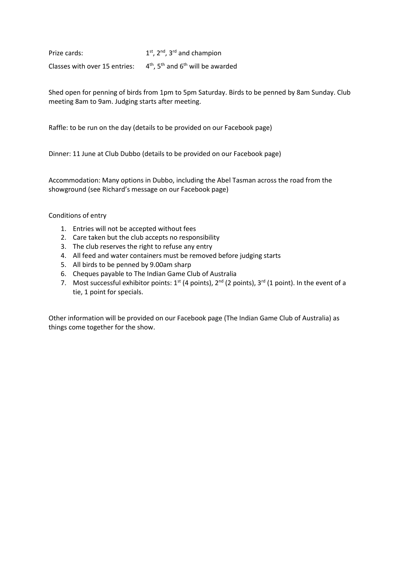Prize cards: 1 <sup>st</sup>, 2<sup>nd</sup>, 3<sup>rd</sup> and champion Classes with over 15 entries:  $4<sup>th</sup>$ , 5<sup>th</sup> and 6<sup>th</sup> will be awarded

Shed open for penning of birds from 1pm to 5pm Saturday. Birds to be penned by 8am Sunday. Club meeting 8am to 9am. Judging starts after meeting.

Raffle: to be run on the day (details to be provided on our Facebook page)

Dinner: 11 June at Club Dubbo (details to be provided on our Facebook page)

Accommodation: Many options in Dubbo, including the Abel Tasman across the road from the showground (see Richard's message on our Facebook page)

Conditions of entry

- 1. Entries will not be accepted without fees
- 2. Care taken but the club accepts no responsibility
- 3. The club reserves the right to refuse any entry
- 4. All feed and water containers must be removed before judging starts
- 5. All birds to be penned by 9.00am sharp
- 6. Cheques payable to The Indian Game Club of Australia
- 7. Most successful exhibitor points:  $1^{st}$  (4 points),  $2^{nd}$  (2 points),  $3^{rd}$  (1 point). In the event of a tie, 1 point for specials.

Other information will be provided on our Facebook page (The Indian Game Club of Australia) as things come together for the show.